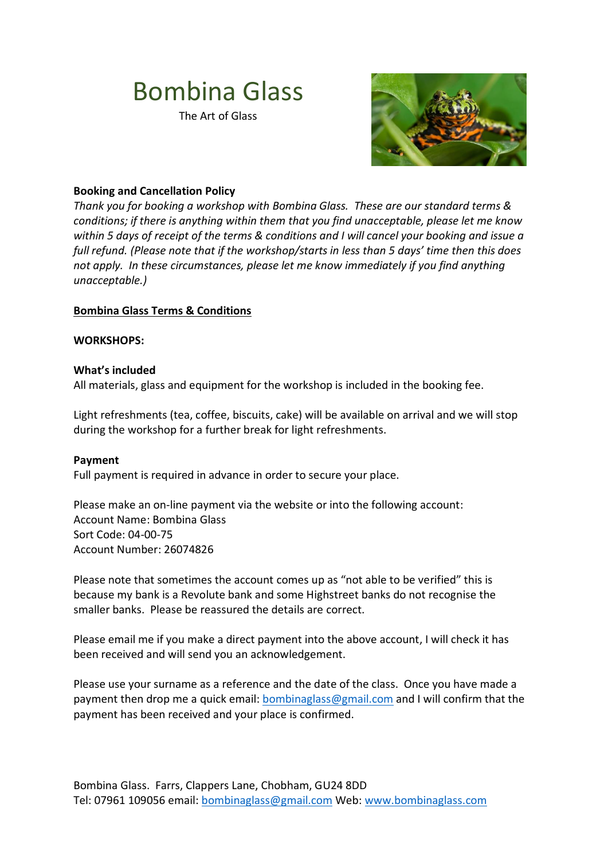# Bombina Glass

The Art of Glass



## **Booking and Cancellation Policy**

*Thank you for booking a workshop with Bombina Glass. These are our standard terms & conditions; if there is anything within them that you find unacceptable, please let me know within 5 days of receipt of the terms & conditions and I will cancel your booking and issue a full refund. (Please note that if the workshop/starts in less than 5 days' time then this does not apply. In these circumstances, please let me know immediately if you find anything unacceptable.)*

### **Bombina Glass Terms & Conditions**

#### **WORKSHOPS:**

#### **What's included**

All materials, glass and equipment for the workshop is included in the booking fee.

Light refreshments (tea, coffee, biscuits, cake) will be available on arrival and we will stop during the workshop for a further break for light refreshments.

#### **Payment**

Full payment is required in advance in order to secure your place.

Please make an on-line payment via the website or into the following account: Account Name: Bombina Glass Sort Code: 04-00-75 Account Number: 26074826

Please note that sometimes the account comes up as "not able to be verified" this is because my bank is a Revolute bank and some Highstreet banks do not recognise the smaller banks. Please be reassured the details are correct.

Please email me if you make a direct payment into the above account, I will check it has been received and will send you an acknowledgement.

Please use your surname as a reference and the date of the class. Once you have made a payment then drop me a quick email: [bombinaglass@gmail.com](mailto:bombinaglass@gmail.com) and I will confirm that the payment has been received and your place is confirmed.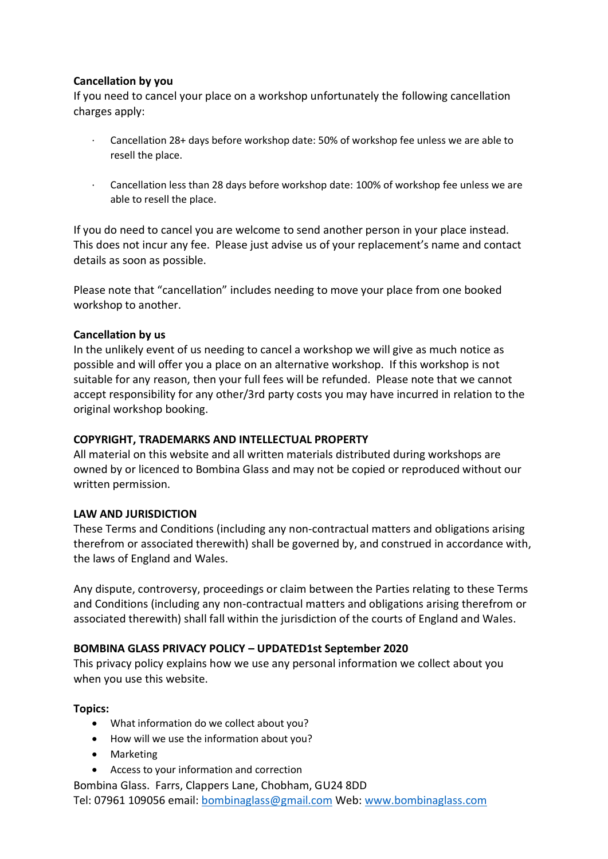# **Cancellation by you**

If you need to cancel your place on a workshop unfortunately the following cancellation charges apply:

- · Cancellation 28+ days before workshop date: 50% of workshop fee unless we are able to resell the place.
- · Cancellation less than 28 days before workshop date: 100% of workshop fee unless we are able to resell the place.

If you do need to cancel you are welcome to send another person in your place instead. This does not incur any fee. Please just advise us of your replacement's name and contact details as soon as possible.

Please note that "cancellation" includes needing to move your place from one booked workshop to another.

### **Cancellation by us**

In the unlikely event of us needing to cancel a workshop we will give as much notice as possible and will offer you a place on an alternative workshop. If this workshop is not suitable for any reason, then your full fees will be refunded. Please note that we cannot accept responsibility for any other/3rd party costs you may have incurred in relation to the original workshop booking.

### **COPYRIGHT, TRADEMARKS AND INTELLECTUAL PROPERTY**

All material on this website and all written materials distributed during workshops are owned by or licenced to Bombina Glass and may not be copied or reproduced without our written permission.

# **LAW AND JURISDICTION**

These Terms and Conditions (including any non-contractual matters and obligations arising therefrom or associated therewith) shall be governed by, and construed in accordance with, the laws of England and Wales.

Any dispute, controversy, proceedings or claim between the Parties relating to these Terms and Conditions (including any non-contractual matters and obligations arising therefrom or associated therewith) shall fall within the jurisdiction of the courts of England and Wales.

### **BOMBINA GLASS PRIVACY POLICY – UPDATED1st September 2020**

This privacy policy explains how we use any personal information we collect about you when you use this website.

### **Topics:**

- What information do we collect about you?
- How will we use the information about you?
- Marketing
- Access to your information and correction
- Bombina Glass. Farrs, Clappers Lane, Chobham, GU24 8DD Tel: 07961 109056 email: [bombinaglass@gmail.com](mailto:bombinaglass@gmail.com) Web: [www.bombinaglass.com](http://www.bombinaglass.com/)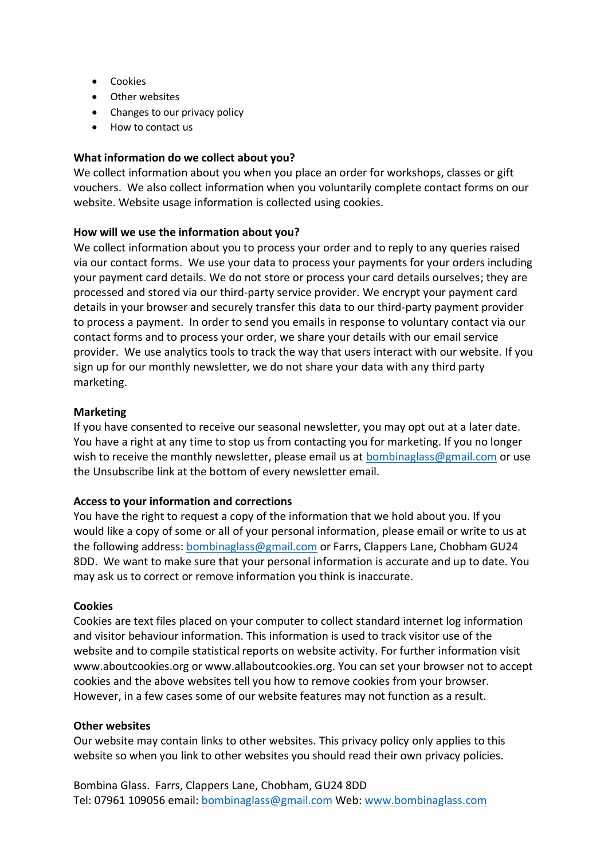- **•** Cookies
- Other websites
- Changes to our privacy policy
- How to contact us

## **What information do we collect about you?**

We collect information about you when you place an order for workshops, classes or gift vouchers. We also collect information when you voluntarily complete contact forms on our website. Website usage information is collected using cookies.

## **How will we use the information about you?**

We collect information about you to process your order and to reply to any queries raised via our contact forms. We use your data to process your payments for your orders including your payment card details. We do not store or process your card details ourselves; they are processed and stored via our third-party service provider. We encrypt your payment card details in your browser and securely transfer this data to our third-party payment provider to process a payment. In order to send you emails in response to voluntary contact via our contact forms and to process your order, we share your details with our email service provider. We use analytics tools to track the way that users interact with our website. If you sign up for our monthly newsletter, we do not share your data with any third party marketing.

## **Marketing**

If you have consented to receive our seasonal newsletter, you may opt out at a later date. You have a right at any time to stop us from contacting you for marketing. If you no longer wish to receive the monthly newsletter, please email us at [bombinaglass@gmail.com](mailto:bombinaglass@gmail.com) or use the Unsubscribe link at the bottom of every newsletter email.

### **Access to your information and corrections**

You have the right to request a copy of the information that we hold about you. If you would like a copy of some or all of your personal information, please email or write to us at the following address: **bombinaglass@gmail.com** or Farrs, Clappers Lane, Chobham GU24 8DD. We want to make sure that your personal information is accurate and up to date. You may ask us to correct or remove information you think is inaccurate.

### **Cookies**

Cookies are text files placed on your computer to collect standard internet log information and visitor behaviour information. This information is used to track visitor use of the website and to compile statistical reports on website activity. For further information visit www.aboutcookies.org or www.allaboutcookies.org. You can set your browser not to accept cookies and the above websites tell you how to remove cookies from your browser. However, in a few cases some of our website features may not function as a result.

### **Other websites**

Our website may contain links to other websites. This privacy policy only applies to this website so when you link to other websites you should read their own privacy policies.

Bombina Glass. Farrs, Clappers Lane, Chobham, GU24 8DD Tel: 07961 109056 email: [bombinaglass@gmail.com](mailto:bombinaglass@gmail.com) Web: [www.bombinaglass.com](http://www.bombinaglass.com/)